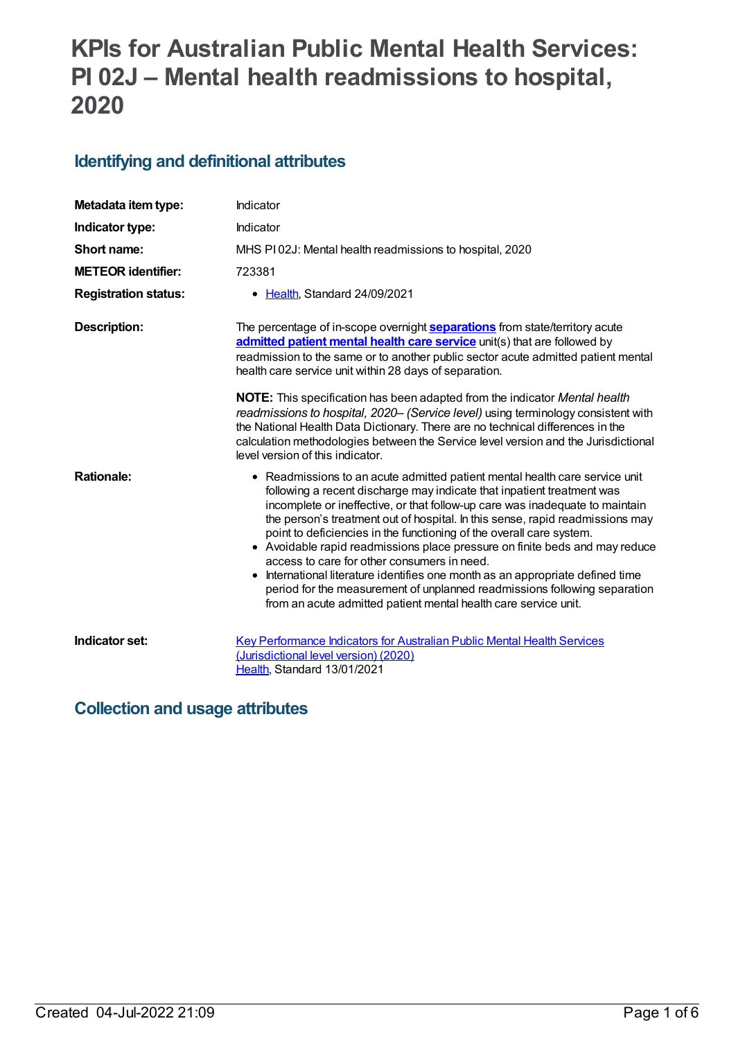# **KPIs for Australian Public Mental Health Services: PI 02J – Mental health readmissions to hospital, 2020**

## **Identifying and definitional attributes**

| Metadata item type:         | Indicator                                                                                                                                                                                                                                                                                                                                                                                                                                                                                                                                                                                                                                                                                                                                                    |
|-----------------------------|--------------------------------------------------------------------------------------------------------------------------------------------------------------------------------------------------------------------------------------------------------------------------------------------------------------------------------------------------------------------------------------------------------------------------------------------------------------------------------------------------------------------------------------------------------------------------------------------------------------------------------------------------------------------------------------------------------------------------------------------------------------|
| Indicator type:             | Indicator                                                                                                                                                                                                                                                                                                                                                                                                                                                                                                                                                                                                                                                                                                                                                    |
| Short name:                 | MHS PI02J: Mental health readmissions to hospital, 2020                                                                                                                                                                                                                                                                                                                                                                                                                                                                                                                                                                                                                                                                                                      |
| <b>METEOR identifier:</b>   | 723381                                                                                                                                                                                                                                                                                                                                                                                                                                                                                                                                                                                                                                                                                                                                                       |
| <b>Registration status:</b> | • Health, Standard 24/09/2021                                                                                                                                                                                                                                                                                                                                                                                                                                                                                                                                                                                                                                                                                                                                |
| <b>Description:</b>         | The percentage of in-scope overnight <b>separations</b> from state/territory acute<br>admitted patient mental health care service unit(s) that are followed by<br>readmission to the same or to another public sector acute admitted patient mental<br>health care service unit within 28 days of separation.                                                                                                                                                                                                                                                                                                                                                                                                                                                |
|                             | NOTE: This specification has been adapted from the indicator Mental health<br>readmissions to hospital, 2020- (Service level) using terminology consistent with<br>the National Health Data Dictionary. There are no technical differences in the<br>calculation methodologies between the Service level version and the Jurisdictional<br>level version of this indicator.                                                                                                                                                                                                                                                                                                                                                                                  |
| <b>Rationale:</b>           | • Readmissions to an acute admitted patient mental health care service unit<br>following a recent discharge may indicate that inpatient treatment was<br>incomplete or ineffective, or that follow-up care was inadequate to maintain<br>the person's treatment out of hospital. In this sense, rapid readmissions may<br>point to deficiencies in the functioning of the overall care system.<br>• Avoidable rapid readmissions place pressure on finite beds and may reduce<br>access to care for other consumers in need.<br>International literature identifies one month as an appropriate defined time<br>period for the measurement of unplanned readmissions following separation<br>from an acute admitted patient mental health care service unit. |
| Indicator set:              | <b>Key Performance Indicators for Australian Public Mental Health Services</b><br>(Jurisdictional level version) (2020)<br>Health, Standard 13/01/2021                                                                                                                                                                                                                                                                                                                                                                                                                                                                                                                                                                                                       |

## **Collection and usage attributes**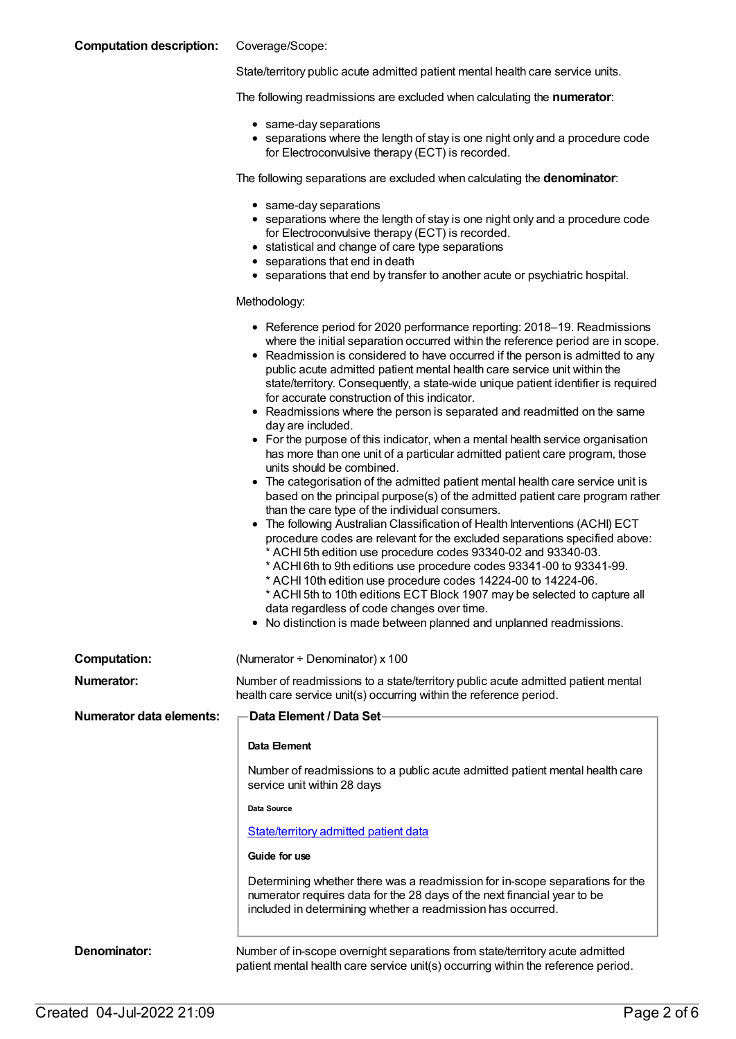### **Computation description:** Coverage/Scope:

State/territory public acute admitted patient mental health care service units.

The following readmissions are excluded when calculating the **numerator**:

- same-day separations
- separations where the length of stay is one night only and a procedure code for Electroconvulsive therapy (ECT) is recorded.

The following separations are excluded when calculating the **denominator**:

- same-day separations
- separations where the length of stay is one night only and a procedure code for Electroconvulsive therapy (ECT) is recorded.
- statistical and change of care type separations
- separations that end in death
- separations that end by transfer to another acute or psychiatric hospital.

#### Methodology:

|                                 | • Reference period for 2020 performance reporting: 2018-19. Readmissions<br>where the initial separation occurred within the reference period are in scope.<br>• Readmission is considered to have occurred if the person is admitted to any<br>public acute admitted patient mental health care service unit within the<br>state/territory. Consequently, a state-wide unique patient identifier is required<br>for accurate construction of this indicator.<br>• Readmissions where the person is separated and readmitted on the same<br>day are included.<br>• For the purpose of this indicator, when a mental health service organisation<br>has more than one unit of a particular admitted patient care program, those<br>units should be combined.<br>• The categorisation of the admitted patient mental health care service unit is<br>based on the principal purpose(s) of the admitted patient care program rather<br>than the care type of the individual consumers.<br>• The following Australian Classification of Health Interventions (ACHI) ECT<br>procedure codes are relevant for the excluded separations specified above:<br>* ACHI 5th edition use procedure codes 93340-02 and 93340-03.<br>* ACHI 6th to 9th editions use procedure codes 93341-00 to 93341-99.<br>* ACHI 10th edition use procedure codes 14224-00 to 14224-06.<br>* ACHI 5th to 10th editions ECT Block 1907 may be selected to capture all<br>data regardless of code changes over time.<br>• No distinction is made between planned and unplanned readmissions. |
|---------------------------------|---------------------------------------------------------------------------------------------------------------------------------------------------------------------------------------------------------------------------------------------------------------------------------------------------------------------------------------------------------------------------------------------------------------------------------------------------------------------------------------------------------------------------------------------------------------------------------------------------------------------------------------------------------------------------------------------------------------------------------------------------------------------------------------------------------------------------------------------------------------------------------------------------------------------------------------------------------------------------------------------------------------------------------------------------------------------------------------------------------------------------------------------------------------------------------------------------------------------------------------------------------------------------------------------------------------------------------------------------------------------------------------------------------------------------------------------------------------------------------------------------------------------------------------------------------------|
| <b>Computation:</b>             | (Numerator + Denominator) x 100                                                                                                                                                                                                                                                                                                                                                                                                                                                                                                                                                                                                                                                                                                                                                                                                                                                                                                                                                                                                                                                                                                                                                                                                                                                                                                                                                                                                                                                                                                                               |
| <b>Numerator:</b>               | Number of readmissions to a state/territory public acute admitted patient mental<br>health care service unit(s) occurring within the reference period.                                                                                                                                                                                                                                                                                                                                                                                                                                                                                                                                                                                                                                                                                                                                                                                                                                                                                                                                                                                                                                                                                                                                                                                                                                                                                                                                                                                                        |
| <b>Numerator data elements:</b> | <b>Data Element / Data Set-</b>                                                                                                                                                                                                                                                                                                                                                                                                                                                                                                                                                                                                                                                                                                                                                                                                                                                                                                                                                                                                                                                                                                                                                                                                                                                                                                                                                                                                                                                                                                                               |
|                                 | Data Element                                                                                                                                                                                                                                                                                                                                                                                                                                                                                                                                                                                                                                                                                                                                                                                                                                                                                                                                                                                                                                                                                                                                                                                                                                                                                                                                                                                                                                                                                                                                                  |
|                                 | Number of readmissions to a public acute admitted patient mental health care<br>service unit within 28 days                                                                                                                                                                                                                                                                                                                                                                                                                                                                                                                                                                                                                                                                                                                                                                                                                                                                                                                                                                                                                                                                                                                                                                                                                                                                                                                                                                                                                                                   |
|                                 | Data Source                                                                                                                                                                                                                                                                                                                                                                                                                                                                                                                                                                                                                                                                                                                                                                                                                                                                                                                                                                                                                                                                                                                                                                                                                                                                                                                                                                                                                                                                                                                                                   |
|                                 | State/territory admitted patient data                                                                                                                                                                                                                                                                                                                                                                                                                                                                                                                                                                                                                                                                                                                                                                                                                                                                                                                                                                                                                                                                                                                                                                                                                                                                                                                                                                                                                                                                                                                         |
|                                 | Guide for use                                                                                                                                                                                                                                                                                                                                                                                                                                                                                                                                                                                                                                                                                                                                                                                                                                                                                                                                                                                                                                                                                                                                                                                                                                                                                                                                                                                                                                                                                                                                                 |
|                                 | Determining whether there was a readmission for in-scope separations for the<br>numerator requires data for the 28 days of the next financial year to be<br>included in determining whether a readmission has occurred.                                                                                                                                                                                                                                                                                                                                                                                                                                                                                                                                                                                                                                                                                                                                                                                                                                                                                                                                                                                                                                                                                                                                                                                                                                                                                                                                       |
| Denominator:                    | Number of in-scope overnight separations from state/territory acute admitted<br>patient mental health care service unit(s) occurring within the reference period.                                                                                                                                                                                                                                                                                                                                                                                                                                                                                                                                                                                                                                                                                                                                                                                                                                                                                                                                                                                                                                                                                                                                                                                                                                                                                                                                                                                             |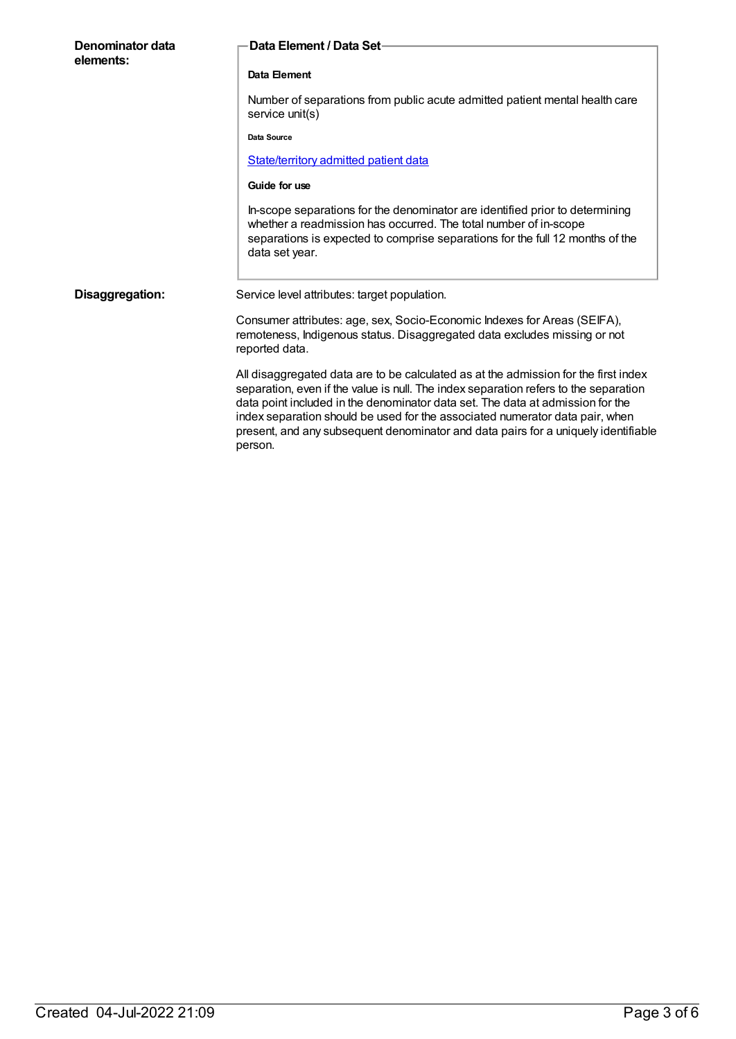| Denominator data<br>elements: | Data Element / Data Set-                                                                                                                                                                                                                                                                                                                                                                                                                       |
|-------------------------------|------------------------------------------------------------------------------------------------------------------------------------------------------------------------------------------------------------------------------------------------------------------------------------------------------------------------------------------------------------------------------------------------------------------------------------------------|
|                               | Data Element                                                                                                                                                                                                                                                                                                                                                                                                                                   |
|                               | Number of separations from public acute admitted patient mental health care<br>service unit(s)                                                                                                                                                                                                                                                                                                                                                 |
|                               | Data Source                                                                                                                                                                                                                                                                                                                                                                                                                                    |
|                               | State/territory admitted patient data                                                                                                                                                                                                                                                                                                                                                                                                          |
|                               | Guide for use                                                                                                                                                                                                                                                                                                                                                                                                                                  |
|                               | In-scope separations for the denominator are identified prior to determining<br>whether a readmission has occurred. The total number of in-scope<br>separations is expected to comprise separations for the full 12 months of the<br>data set year.                                                                                                                                                                                            |
| Disaggregation:               | Service level attributes: target population.                                                                                                                                                                                                                                                                                                                                                                                                   |
|                               | Consumer attributes: age, sex, Socio-Economic Indexes for Areas (SEIFA),<br>remoteness, Indigenous status. Disaggregated data excludes missing or not<br>reported data.                                                                                                                                                                                                                                                                        |
|                               | All disaggregated data are to be calculated as at the admission for the first index<br>separation, even if the value is null. The index separation refers to the separation<br>data point included in the denominator data set. The data at admission for the<br>index separation should be used for the associated numerator data pair, when<br>present, and any subsequent denominator and data pairs for a uniquely identifiable<br>person. |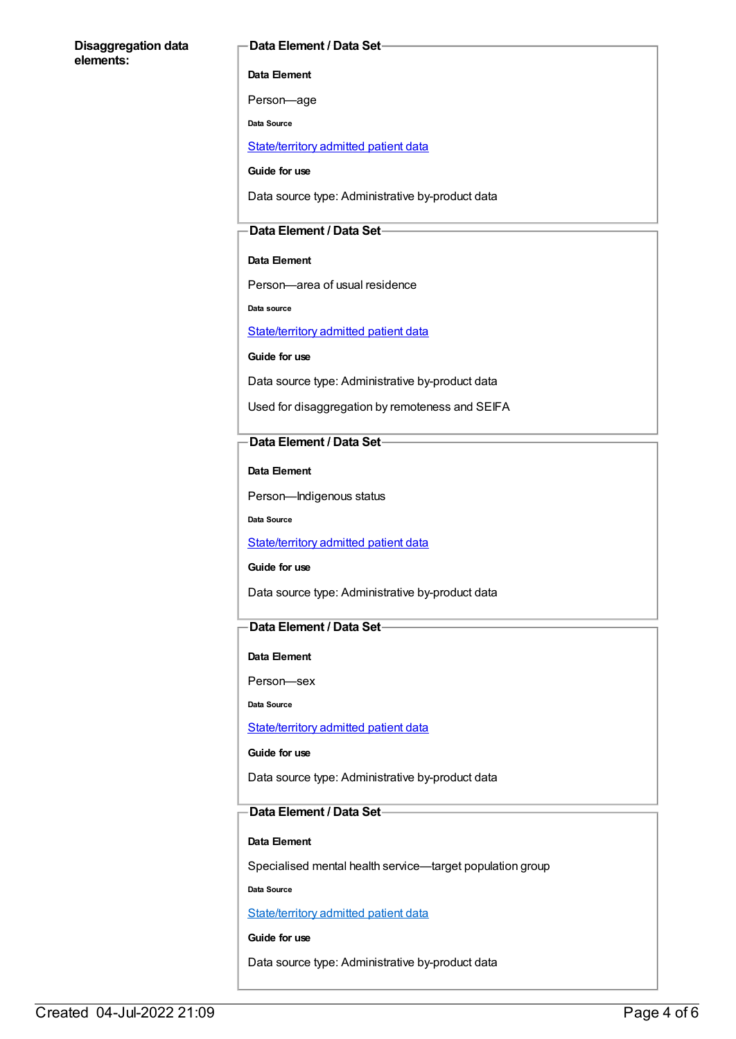### **Disaggregation data elements:**

### **Data Element / Data Set**

**Data Element**

Person—age

**Data Source**

[State/territory](file:///content/426458) admitted patient data

**Guide for use**

Data source type: Administrative by-product data

## **Data Element / Data Set**

### **Data Element**

Person—area of usual residence

**Data source**

[State/territory](file:///content/426458) admitted patient data

**Guide for use**

Data source type: Administrative by-product data

Used for disaggregation by remoteness and SEIFA

## **Data Element / Data Set**

**Data Element**

Person—Indigenous status

**Data Source**

[State/territory](file:///content/426458) admitted patient data

**Guide for use**

Data source type: Administrative by-product data

## **Data Element / Data Set**

#### **Data Element**

Person—sex

**Data Source**

### [State/territory](file:///content/426458) admitted patient data

**Guide for use**

Data source type: Administrative by-product data

## **Data Element / Data Set**

### **Data Element**

Specialised mental health service—target population group

**Data Source**

[State/territory](file:///content/426458) admitted patient data

**Guide for use**

Data source type: Administrative by-product data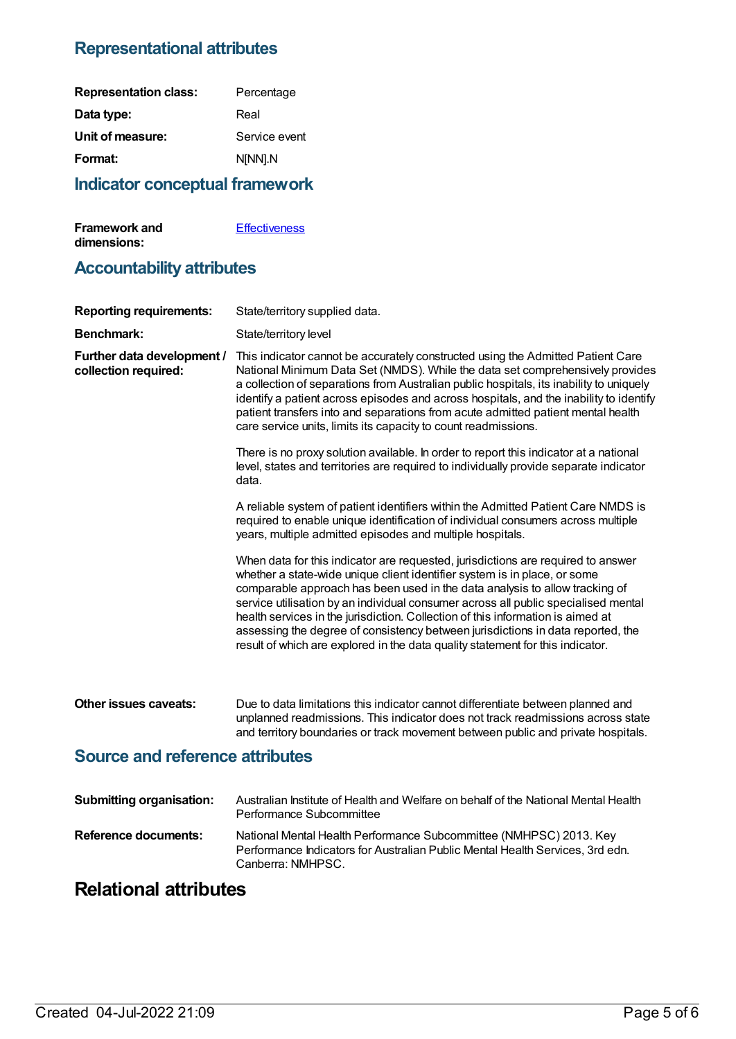## **Representational attributes**

| <b>Indicator conceptual framework</b> |               |  |
|---------------------------------------|---------------|--|
| Format:                               | N[NN].N       |  |
| Unit of measure:                      | Service event |  |
| Data type:                            | Real          |  |
| <b>Representation class:</b>          | Percentage    |  |

| <b>Framework and</b> | <b>Effectiveness</b> |
|----------------------|----------------------|
| dimensions:          |                      |

## **Accountability attributes**

| <b>Benchmark:</b><br>State/territory level<br>Further data development /<br>This indicator cannot be accurately constructed using the Admitted Patient Care<br>National Minimum Data Set (NMDS). While the data set comprehensively provides<br>collection required:<br>a collection of separations from Australian public hospitals, its inability to uniquely<br>identify a patient across episodes and across hospitals, and the inability to identify<br>patient transfers into and separations from acute admitted patient mental health<br>care service units, limits its capacity to count readmissions.<br>There is no proxy solution available. In order to report this indicator at a national<br>level, states and territories are required to individually provide separate indicator<br>data.<br>A reliable system of patient identifiers within the Admitted Patient Care NMDS is<br>required to enable unique identification of individual consumers across multiple<br>years, multiple admitted episodes and multiple hospitals.<br>When data for this indicator are requested, jurisdictions are required to answer<br>whether a state-wide unique client identifier system is in place, or some<br>comparable approach has been used in the data analysis to allow tracking of<br>service utilisation by an individual consumer across all public specialised mental<br>health services in the jurisdiction. Collection of this information is aimed at<br>assessing the degree of consistency between jurisdictions in data reported, the<br>result of which are explored in the data quality statement for this indicator.<br>Other issues caveats:<br>Due to data limitations this indicator cannot differentiate between planned and<br>unplanned readmissions. This indicator does not track readmissions across state<br>and territory boundaries or track movement between public and private hospitals.<br><b>Source and reference attributes</b><br><b>Submitting organisation:</b><br>Australian Institute of Health and Welfare on behalf of the National Mental Health<br>Performance Subcommittee<br><b>Reference documents:</b><br>National Mental Health Performance Subcommittee (NMHPSC) 2013. Key<br>Performance Indicators for Australian Public Mental Health Services, 3rd edn.<br>Canberra: NMHPSC. | <b>Reporting requirements:</b> | State/territory supplied data. |
|---------------------------------------------------------------------------------------------------------------------------------------------------------------------------------------------------------------------------------------------------------------------------------------------------------------------------------------------------------------------------------------------------------------------------------------------------------------------------------------------------------------------------------------------------------------------------------------------------------------------------------------------------------------------------------------------------------------------------------------------------------------------------------------------------------------------------------------------------------------------------------------------------------------------------------------------------------------------------------------------------------------------------------------------------------------------------------------------------------------------------------------------------------------------------------------------------------------------------------------------------------------------------------------------------------------------------------------------------------------------------------------------------------------------------------------------------------------------------------------------------------------------------------------------------------------------------------------------------------------------------------------------------------------------------------------------------------------------------------------------------------------------------------------------------------------------------------------------------------------------------------------------------------------------------------------------------------------------------------------------------------------------------------------------------------------------------------------------------------------------------------------------------------------------------------------------------------------------------------------------------------------------------------------------------------------------------------------------|--------------------------------|--------------------------------|
|                                                                                                                                                                                                                                                                                                                                                                                                                                                                                                                                                                                                                                                                                                                                                                                                                                                                                                                                                                                                                                                                                                                                                                                                                                                                                                                                                                                                                                                                                                                                                                                                                                                                                                                                                                                                                                                                                                                                                                                                                                                                                                                                                                                                                                                                                                                                             |                                |                                |
|                                                                                                                                                                                                                                                                                                                                                                                                                                                                                                                                                                                                                                                                                                                                                                                                                                                                                                                                                                                                                                                                                                                                                                                                                                                                                                                                                                                                                                                                                                                                                                                                                                                                                                                                                                                                                                                                                                                                                                                                                                                                                                                                                                                                                                                                                                                                             |                                |                                |
|                                                                                                                                                                                                                                                                                                                                                                                                                                                                                                                                                                                                                                                                                                                                                                                                                                                                                                                                                                                                                                                                                                                                                                                                                                                                                                                                                                                                                                                                                                                                                                                                                                                                                                                                                                                                                                                                                                                                                                                                                                                                                                                                                                                                                                                                                                                                             |                                |                                |
|                                                                                                                                                                                                                                                                                                                                                                                                                                                                                                                                                                                                                                                                                                                                                                                                                                                                                                                                                                                                                                                                                                                                                                                                                                                                                                                                                                                                                                                                                                                                                                                                                                                                                                                                                                                                                                                                                                                                                                                                                                                                                                                                                                                                                                                                                                                                             |                                |                                |
|                                                                                                                                                                                                                                                                                                                                                                                                                                                                                                                                                                                                                                                                                                                                                                                                                                                                                                                                                                                                                                                                                                                                                                                                                                                                                                                                                                                                                                                                                                                                                                                                                                                                                                                                                                                                                                                                                                                                                                                                                                                                                                                                                                                                                                                                                                                                             |                                |                                |
|                                                                                                                                                                                                                                                                                                                                                                                                                                                                                                                                                                                                                                                                                                                                                                                                                                                                                                                                                                                                                                                                                                                                                                                                                                                                                                                                                                                                                                                                                                                                                                                                                                                                                                                                                                                                                                                                                                                                                                                                                                                                                                                                                                                                                                                                                                                                             |                                |                                |
|                                                                                                                                                                                                                                                                                                                                                                                                                                                                                                                                                                                                                                                                                                                                                                                                                                                                                                                                                                                                                                                                                                                                                                                                                                                                                                                                                                                                                                                                                                                                                                                                                                                                                                                                                                                                                                                                                                                                                                                                                                                                                                                                                                                                                                                                                                                                             |                                |                                |
|                                                                                                                                                                                                                                                                                                                                                                                                                                                                                                                                                                                                                                                                                                                                                                                                                                                                                                                                                                                                                                                                                                                                                                                                                                                                                                                                                                                                                                                                                                                                                                                                                                                                                                                                                                                                                                                                                                                                                                                                                                                                                                                                                                                                                                                                                                                                             |                                |                                |
|                                                                                                                                                                                                                                                                                                                                                                                                                                                                                                                                                                                                                                                                                                                                                                                                                                                                                                                                                                                                                                                                                                                                                                                                                                                                                                                                                                                                                                                                                                                                                                                                                                                                                                                                                                                                                                                                                                                                                                                                                                                                                                                                                                                                                                                                                                                                             |                                |                                |

## **Relational attributes**